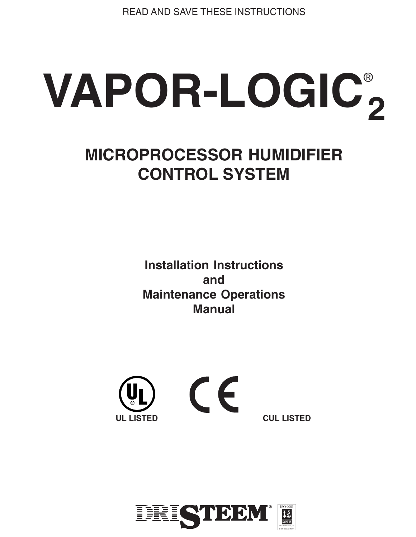READ AND SAVE THESE INSTRUCTIONS

# **VAPOR-LOGIC** ® **2**

# **MICROPROCESSOR HUMIDIFIER CONTROL SYSTEM**

**Installation Instructions and Maintenance Operations Manual**



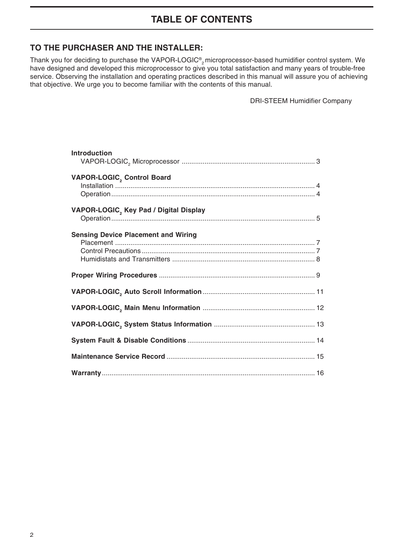### **TABLE OF CONTENTS**

#### **TO THE PURCHASER AND THE INSTALLER:**

Thank you for deciding to purchase the VAPOR-LOGIC® $_2$ microprocessor-based humidifier control system. We have designed and developed this microprocessor to give you total satisfaction and many years of trouble-free service. Observing the installation and operating practices described in this manual will assure you of achieving that objective. We urge you to become familiar with the contents of this manual.

DRI-STEEM Humidifier Company

| <b>Introduction</b>                        |
|--------------------------------------------|
| VAPOR-LOGIC, Control Board                 |
| VAPOR-LOGIC, Key Pad / Digital Display     |
| <b>Sensing Device Placement and Wiring</b> |
|                                            |
|                                            |
|                                            |
|                                            |
|                                            |
|                                            |
|                                            |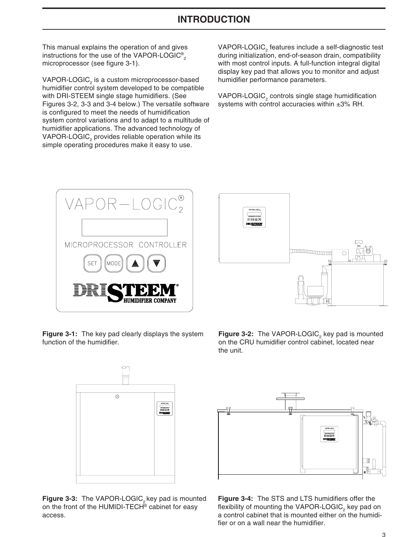### **INTRODUCTION**

This manual explains the operation of and gives instructions for the use of the VAPOR-LOGIC® $_{\rm 2}$ microprocessor (see figure 3-1).

<code>VAPOR-LOGIC</code>  $_{\textrm{\tiny{2}}}$  is a custom microprocessor-based humidifier control system developed to be compatible with DRI-STEEM single stage humidifiers. (See Figures 3-2, 3-3 and 3-4 below.) The versatile software is configured to meet the needs of humidification system control variations and to adapt to a multitude of humidifier applications. The advanced technology of VAPOR-LOGIC $_{\rm _2}$  provides reliable operation while its simple operating procedures make it easy to use.

VAPOR-LOGIC $_2$  features include a self-diagnostic test during initialization, end-of-season drain, compatibility with most control inputs. A full-function integral digital display key pad that allows you to monitor and adjust humidifier performance parameters.

VAPOR-LOGIC $_2$  controls single stage humidification systems with control accuracies within ±3% RH.



**Figure 3-2:** The VAPOR-LOGIC<sub>2</sub> key pad is mounted on the CRU humidifier control cabinet, located near

the unit.

**Figure 3-1:** The key pad clearly displays the system function of the humidifier.



Figure 3-3: The VAPOR-LOGIC<sub>2</sub> key pad is mounted on the front of the HUMIDI-TECH® cabinet for easy access.



**Figure 3-4:** The STS and LTS humidifiers offer the flexibility of mounting the VAPOR-LOGIC $_{\tiny 2}$  key pad on a control cabinet that is mounted either on the humidifier or on a wall near the humidifier.

3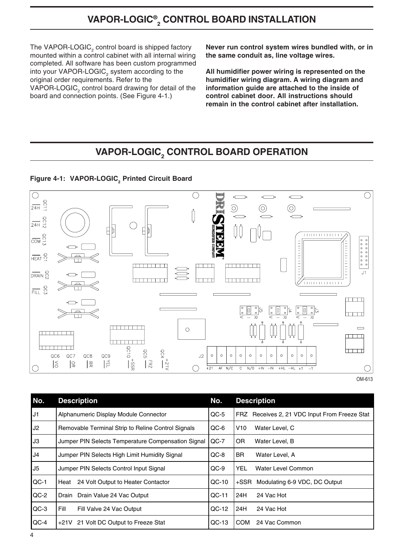# **VAPOR-LOGIC® 2 CONTROL BOARD INSTALLATION**

The VAPOR-LOGIC $_{\rm _2}$  control board is shipped factory mounted within a control cabinet with all internal wiring completed. All software has been custom programmed into your VAPOR-LOGIC $_{\textrm{\tiny{2}}}$  system according to the original order requirements. Refer to the VAPOR-LOGIC $_2$  control board drawing for detail of the board and connection points. (See Figure 4-1.)

**Never run control system wires bundled with, or in the same conduit as, line voltage wires.**

**All humidifier power wiring is represented on the humidifier wiring diagram. A wiring diagram and information guide are attached to the inside of control cabinet door. All instructions should remain in the control cabinet after installation.**

# **VAPOR-LOGIC2 CONTROL BOARD OPERATION**





| ٧ | ۰, |  |
|---|----|--|
|   |    |  |

| No.            | <b>Description</b>                                 | No.     | <b>Description</b>                            |
|----------------|----------------------------------------------------|---------|-----------------------------------------------|
| J1             | Alphanumeric Display Module Connector              | $QC-5$  | FRZ Receives 2, 21 VDC Input From Freeze Stat |
| J2             | Removable Terminal Strip to Reline Control Signals | QC-6    | V10<br>Water Level, C                         |
| J3             | Jumper PIN Selects Temperature Compensation Signal | $QC-7$  | 0R<br>Water Level, B                          |
| J <sub>4</sub> | Jumper PIN Selects High Limit Humidity Signal      | $QC-8$  | BR.<br>Water Level, A                         |
| J <sub>5</sub> | Jumper PIN Selects Control Input Signal            | $QC-9$  | YEL.<br>Water Level Common                    |
| $QC-1$         | 24 Volt Output to Heater Contactor<br>Heat         | $QC-10$ | Modulating 6-9 VDC, DC Output<br>+SSR         |
| $QC-2$         | Drain Drain Value 24 Vac Output                    | $OC-11$ | 24H<br>24 Vac Hot                             |
| $QC-3$         | Fill<br>Fill Valve 24 Vac Output                   | $QC-12$ | 24H<br>24 Vac Hot                             |
| $QC-4$         | +21V 21 Volt DC Output to Freeze Stat              | $QC-13$ | <b>COM</b><br>24 Vac Common                   |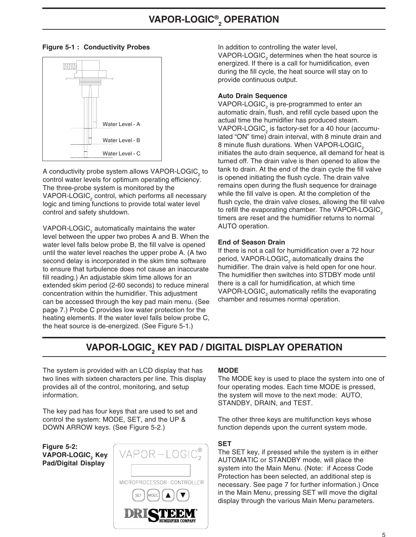

A conductivity probe system allows VAPOR-LOGIC, to control water levels for optimum operating efficiency. The three-probe system is monitored by the VAPOR-LOGIC $_2$  control, which performs all necessary logic and timing functions to provide total water level control and safety shutdown.

VAPOR-LOGIC, automatically maintains the water level between the upper two probes A and B. When the water level falls below probe B, the fill valve is opened until the water level reaches the upper probe A. (A two second delay is incorporated in the skim time software to ensure that turbulence does not cause an inaccurate fill reading.) An adjustable skim time allows for an extended skim period (2-60 seconds) to reduce mineral concentration within the humidifier. This adjustment can be accessed through the key pad main menu. (See page 7.) Probe C provides low water protection for the heating elements. If the water level falls below probe C, the heat source is de-energized. (See Figure 5-1.)

**Figure 5-1 : Conductivity Probes** In addition to controlling the water level, VAPOR-LOGIC<sub>2</sub> determines when the heat source is energized. If there is a call for humidification, even during the fill cycle, the heat source will stay on to provide continuous output.

#### **Auto Drain Sequence**

VAPOR-LOGIC<sub>2</sub> is pre-programmed to enter an automatic drain, flush, and refill cycle based upon the actual time the humidifier has produced steam. VAPOR-LOGIC<sub>2</sub> is factory-set for a 40 hour (accumulated "ON" time) drain interval, with 8 minute drain and 8 minute flush durations. When VAPOR-LOGIC<sub>2</sub> initiates the auto drain sequence, all demand for heat is turned off. The drain valve is then opened to allow the tank to drain. At the end of the drain cycle the fill valve is opened initiating the flush cycle. The drain valve remains open during the flush sequence for drainage while the fill valve is open. At the completion of the flush cycle, the drain valve closes, allowing the fill valve to refill the evaporating chamber. The VAPOR-LOGIC<sub>2</sub> timers are reset and the humidifier returns to normal AUTO operation.

#### **End of Season Drain**

If there is not a call for humidification over a 72 hour period, VAPOR-LOGIC $_2$  automatically drains the humidifier. The drain valve is held open for one hour. The humidifier then switches into STDBY mode until there is a call for humidification, at which time VAPOR-LOGIC<sub>2</sub> automatically refills the evaporating chamber and resumes normal operation.

# **VAPOR-LOGIC2 KEY PAD / DIGITAL DISPLAY OPERATION**

The system is provided with an LCD display that has two lines with sixteen characters per line. This display provides all of the control, monitoring, and setup information.

The key pad has four keys that are used to set and control the system: MODE, SET, and the UP & DOWN ARROW keys. (See Figure 5-2.)

**Figure 5-2: VAPOR-LOGIC2 Key Pad/Digital Display**



#### **MODE**

The MODE key is used to place the system into one of four operating modes. Each time MODE is pressed, the system will move to the next mode: AUTO, STANDBY, DRAIN, and TEST.

The other three keys are multifunction keys whose function depends upon the current system mode.

#### **SET**

The SET key, if pressed while the system is in either AUTOMATIC or STANDBY mode, will place the system into the Main Menu. (Note: if Access Code Protection has been selected, an additional step is necessary. See page 7 for further information.) Once in the Main Menu, pressing SET will move the digital display through the various Main Menu parameters.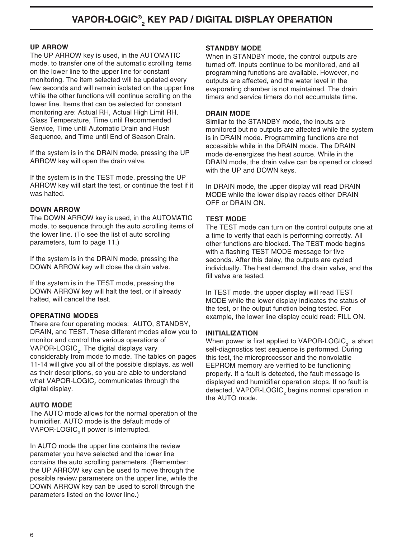#### **UP ARROW**

The UP ARROW key is used, in the AUTOMATIC mode, to transfer one of the automatic scrolling items on the lower line to the upper line for constant monitoring. The item selected will be updated every few seconds and will remain isolated on the upper line while the other functions will continue scrolling on the lower line. Items that can be selected for constant monitoring are: Actual RH, Actual High Limit RH, Glass Temperature, Time until Recommended Service, Time until Automatic Drain and Flush Sequence, and Time until End of Season Drain.

If the system is in the DRAIN mode, pressing the UP ARROW key will open the drain valve.

If the system is in the TEST mode, pressing the UP ARROW key will start the test, or continue the test if it was halted.

#### **DOWN ARROW**

The DOWN ARROW key is used, in the AUTOMATIC mode, to sequence through the auto scrolling items of the lower line. (To see the list of auto scrolling parameters, turn to page 11.)

If the system is in the DRAIN mode, pressing the DOWN ARROW key will close the drain valve.

If the system is in the TEST mode, pressing the DOWN ARROW key will halt the test, or if already halted, will cancel the test.

#### **OPERATING MODES**

There are four operating modes: AUTO, STANDBY, DRAIN, and TEST. These different modes allow you to monitor and control the various operations of VAPOR-LOGIC $_{\textrm{\tiny{2}}}$ . The digital displays vary considerably from mode to mode. The tables on pages 11-14 will give you all of the possible displays, as well as their descriptions, so you are able to understand what VAPOR-LOGIC $_{\rm _2}$  communicates through the digital display.

#### **AUTO MODE**

The AUTO mode allows for the normal operation of the humidifier. AUTO mode is the default mode of VAPOR-LOGIC $_{\rm _2}$  if power is interrupted.

In AUTO mode the upper line contains the review parameter you have selected and the lower line contains the auto scrolling parameters. (Remember: the UP ARROW key can be used to move through the possible review parameters on the upper line, while the DOWN ARROW key can be used to scroll through the parameters listed on the lower line.)

#### **STANDBY MODE**

When in STANDBY mode, the control outputs are turned off. Inputs continue to be monitored, and all programming functions are available. However, no outputs are affected, and the water level in the evaporating chamber is not maintained. The drain timers and service timers do not accumulate time.

#### **DRAIN MODE**

Similar to the STANDBY mode, the inputs are monitored but no outputs are affected while the system is in DRAIN mode. Programming functions are not accessible while in the DRAIN mode. The DRAIN mode de-energizes the heat source. While in the DRAIN mode, the drain valve can be opened or closed with the UP and DOWN keys.

In DRAIN mode, the upper display will read DRAIN MODE while the lower display reads either DRAIN OFF or DRAIN ON.

#### **TEST MODE**

The TEST mode can turn on the control outputs one at a time to verify that each is performing correctly. All other functions are blocked. The TEST mode begins with a flashing TEST MODE message for five seconds. After this delay, the outputs are cycled individually. The heat demand, the drain valve, and the fill valve are tested.

In TEST mode, the upper display will read TEST MODE while the lower display indicates the status of the test, or the output function being tested. For example, the lower line display could read: FILL ON.

#### **INITIALIZATION**

When power is first applied to VAPOR-LOGIC $_{\textrm{\tiny{\it 2}}}$ , a short self-diagnostics test sequence is performed. During this test, the microprocessor and the nonvolatile EEPROM memory are verified to be functioning properly. If a fault is detected, the fault message is displayed and humidifier operation stops. If no fault is detected, VAPOR-LOGIC $_{_2}$  begins normal operation in the AUTO mode.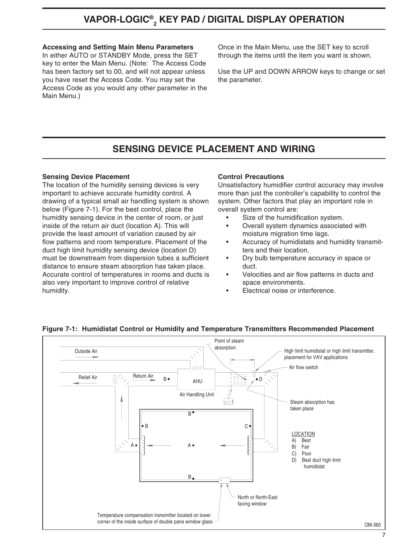# **VAPOR-LOGIC® 2 KEY PAD / DIGITAL DISPLAY OPERATION**

#### **Accessing and Setting Main Menu Parameters**

In either AUTO or STANDBY Mode, press the SET key to enter the Main Menu. (Note: The Access Code has been factory set to 00, and will not appear unless you have reset the Access Code. You may set the Access Code as you would any other parameter in the Main Menu.)

Once in the Main Menu, use the SET key to scroll through the items until the item you want is shown.

Use the UP and DOWN ARROW keys to change or set the parameter.

### **SENSING DEVICE PLACEMENT AND WIRING**

#### **Sensing Device Placement**

The location of the humidity sensing devices is very important to achieve accurate humidity control. A drawing of a typical small air handling system is shown below (Figure 7-1). For the best control, place the humidity sensing device in the center of room, or just inside of the return air duct (location A). This will provide the least amount of variation caused by air flow patterns and room temperature. Placement of the duct high limit humidity sensing device (location D) must be downstream from dispersion tubes a sufficient distance to ensure steam absorption has taken place. Accurate control of temperatures in rooms and ducts is also very important to improve control of relative humidity.

#### **Control Precautions**

Unsatisfactory humidifier control accuracy may involve more than just the controller's capability to control the system. Other factors that play an important role in overall system control are:

- Size of the humidification system.
- Overall system dynamics associated with moisture migration time lags.
- Accuracy of humidistats and humidity transmitters and their location.
- Dry bulb temperature accuracy in space or duct.
- Velocities and air flow patterns in ducts and space environments.
- Electrical noise or interference.



#### **Figure 7-1: Humidistat Control or Humidity and Temperature Transmitters Recommended Placement**

7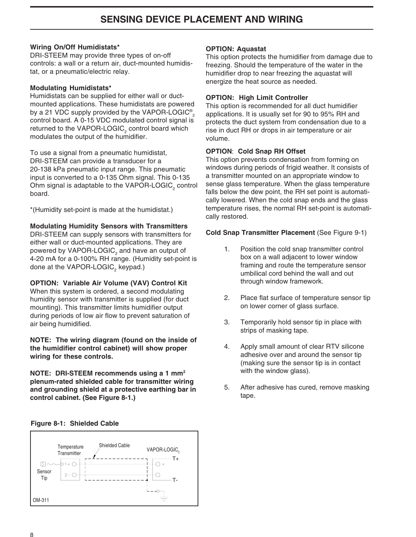### **SENSING DEVICE PLACEMENT AND WIRING**

#### **Wiring On/Off Humidistats\***

DRI-STEEM may provide three types of on-off controls: a wall or a return air, duct-mounted humidistat, or a pneumatic/electric relay.

#### **Modulating Humidistats\***

Humidistats can be supplied for either wall or ductmounted applications. These humidistats are powered by a 21 VDC supply provided by the VAPOR-LOGIC® $_{\rm 2}$ control board. A 0-15 VDC modulated control signal is returned to the VAPOR-LOGIC<sub>2</sub> control board which modulates the output of the humidifier.

To use a signal from a pneumatic humidistat, DRI-STEEM can provide a transducer for a 20-138 kPa pneumatic input range. This pneumatic input is converted to a 0-135 Ohm signal. This 0-135 Ohm signal is adaptable to the VAPOR-LOGIC $_{_2}$  control board.

\*(Humidity set-point is made at the humidistat.)

#### **Modulating Humidity Sensors with Transmitters**

DRI-STEEM can supply sensors with transmitters for either wall or duct-mounted applications. They are powered by VAPOR-LOGIC $_{\rm _2}$  and have an output of 4-20 mA for a 0-100% RH range. (Humidity set-point is done at the VAPOR-LOGIC $_{\textrm{\tiny{2}}}$  keypad.)

**OPTION: Variable Air Volume (VAV) Control Kit** When this system is ordered, a second modulating humidity sensor with transmitter is supplied (for duct mounting). This transmitter limits humidifier output during periods of low air flow to prevent saturation of air being humidified.

**NOTE: The wiring diagram (found on the inside of the humidifier control cabinet) will show proper wiring for these controls.**

**NOTE: DRI-STEEM recommends using a 1 mm2 plenum-rated shielded cable for transmitter wiring and grounding shield at a protective earthing bar in control cabinet. (See Figure 8-1.)**

#### **OPTION: Aquastat**

This option protects the humidifier from damage due to freezing. Should the temperature of the water in the humidifier drop to near freezing the aquastat will energize the heat source as needed.

#### **OPTION: High Limit Controller**

This option is recommended for all duct humidifier applications. It is usually set for 90 to 95% RH and protects the duct system from condensation due to a rise in duct RH or drops in air temperature or air volume.

#### **OPTION**: **Cold Snap RH Offset**

This option prevents condensation from forming on windows during periods of frigid weather. It consists of a transmitter mounted on an appropriate window to sense glass temperature. When the glass temperature falls below the dew point, the RH set point is automatically lowered. When the cold snap ends and the glass temperature rises, the normal RH set-point is automatically restored.

#### **Cold Snap Transmitter Placement** (See Figure 9-1)

- 1. Position the cold snap transmitter control box on a wall adjacent to lower window framing and route the temperature sensor umbilical cord behind the wall and out through window framework.
- 2. Place flat surface of temperature sensor tip on lower corner of glass surface.
- 3. Temporarily hold sensor tip in place with strips of masking tape.
- 4. Apply small amount of clear RTV silicone adhesive over and around the sensor tip (making sure the sensor tip is in contact with the window glass).
- 5. After adhesive has cured, remove masking tape.

#### **Figure 8-1: Shielded Cable**

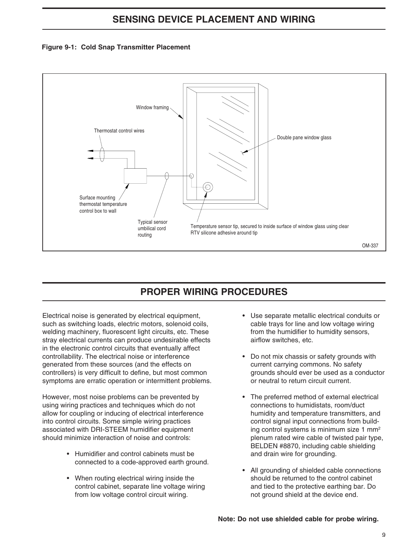### **SENSING DEVICE PLACEMENT AND WIRING**





## **PROPER WIRING PROCEDURES**

Electrical noise is generated by electrical equipment, such as switching loads, electric motors, solenoid coils, welding machinery, fluorescent light circuits, etc. These stray electrical currents can produce undesirable effects in the electronic control circuits that eventually affect controllability. The electrical noise or interference generated from these sources (and the effects on controllers) is very difficult to define, but most common symptoms are erratic operation or intermittent problems.

However, most noise problems can be prevented by using wiring practices and techniques which do not allow for coupling or inducing of electrical interference into control circuits. Some simple wiring practices associated with DRI-STEEM humidifier equipment should minimize interaction of noise and controls:

- Humidifier and control cabinets must be connected to a code-approved earth ground.
- When routing electrical wiring inside the control cabinet, separate line voltage wiring from low voltage control circuit wiring.
- Use separate metallic electrical conduits or cable trays for line and low voltage wiring from the humidifier to humidity sensors, airflow switches, etc.
- Do not mix chassis or safety grounds with current carrying commons. No safety grounds should ever be used as a conductor or neutral to return circuit current.
- The preferred method of external electrical connections to humidistats, room/duct humidity and temperature transmitters, and control signal input connections from building control systems is minimum size 1 mm2 plenum rated wire cable of twisted pair type, BELDEN #8870, including cable shielding and drain wire for grounding.
- All grounding of shielded cable connections should be returned to the control cabinet and tied to the protective earthing bar. Do not ground shield at the device end.

#### **Note: Do not use shielded cable for probe wiring.**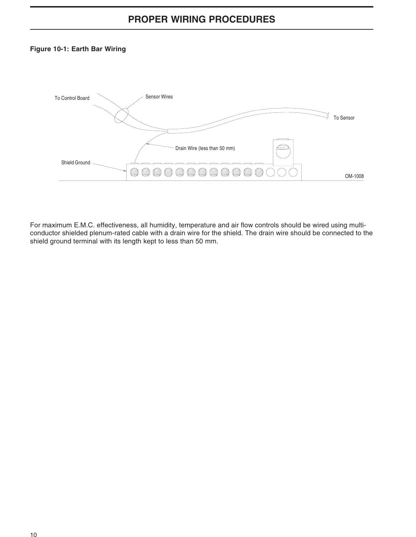### **PROPER WIRING PROCEDURES**

#### **Figure 10-1: Earth Bar Wiring**



For maximum E.M.C. effectiveness, all humidity, temperature and air flow controls should be wired using multiconductor shielded plenum-rated cable with a drain wire for the shield. The drain wire should be connected to the shield ground terminal with its length kept to less than 50 mm.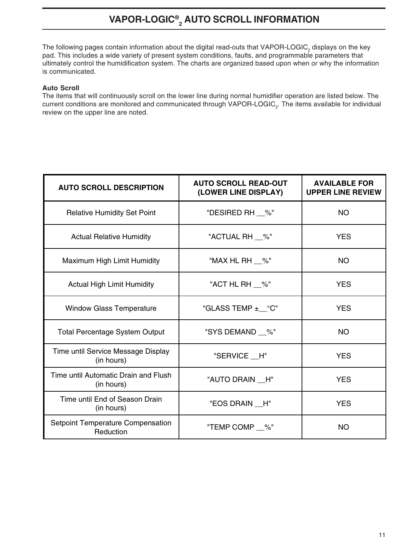# **VAPOR-LOGIC® <sup>2</sup> AUTO SCROLL INFORMATION**

The following pages contain information about the digital read-outs that VAPOR-LOGIC<sub>2</sub> displays on the key pad. This includes a wide variety of present system conditions, faults, and programmable parameters that ultimately control the humidification system. The charts are organized based upon when or why the information is communicated.

#### **Auto Scroll**

The items that will continuously scroll on the lower line during normal humidifier operation are listed below. The current conditions are monitored and communicated through VAPOR-LOGIC<sub>2</sub>. The items available for individual review on the upper line are noted.

| <b>AUTO SCROLL DESCRIPTION</b>                     | <b>AUTO SCROLL READ-OUT</b><br>(LOWER LINE DISPLAY) | <b>AVAILABLE FOR</b><br><b>UPPER LINE REVIEW</b> |
|----------------------------------------------------|-----------------------------------------------------|--------------------------------------------------|
| <b>Relative Humidity Set Point</b>                 | "DESIRED RH __%"                                    | <b>NO</b>                                        |
| <b>Actual Relative Humidity</b>                    | "ACTUAL RH __%"                                     | <b>YES</b>                                       |
| Maximum High Limit Humidity                        | "MAX HL RH %"                                       | <b>NO</b>                                        |
| <b>Actual High Limit Humidity</b>                  | "ACT HL RH $\_\%$ "                                 | <b>YES</b>                                       |
| <b>Window Glass Temperature</b>                    | "GLASS TEMP $\pm$ °C"                               | <b>YES</b>                                       |
| <b>Total Percentage System Output</b>              | "SYS DEMAND __%"                                    | <b>NO</b>                                        |
| Time until Service Message Display<br>(in hours)   | "SERVICE H"                                         | <b>YES</b>                                       |
| Time until Automatic Drain and Flush<br>(in hours) | "AUTO DRAIN H"                                      | <b>YES</b>                                       |
| Time until End of Season Drain<br>(in hours)       | "EOS DRAIN __H"                                     | <b>YES</b>                                       |
| Setpoint Temperature Compensation<br>Reduction     | "TEMP COMP __%"                                     | <b>NO</b>                                        |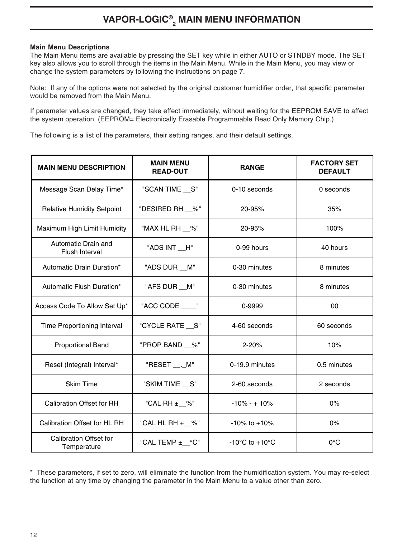# **VAPOR-LOGIC® <sup>2</sup> MAIN MENU INFORMATION**

#### **Main Menu Descriptions**

The Main Menu items are available by pressing the SET key while in either AUTO or STNDBY mode. The SET key also allows you to scroll through the items in the Main Menu. While in the Main Menu, you may view or change the system parameters by following the instructions on page 7.

Note: If any of the options were not selected by the original customer humidifier order, that specific parameter would be removed from the Main Menu.

If parameter values are changed, they take effect immediately, without waiting for the EEPROM SAVE to affect the system operation. (EEPROM= Electronically Erasable Programmable Read Only Memory Chip.)

The following is a list of the parameters, their setting ranges, and their default settings.

| <b>MAIN MENU DESCRIPTION</b>                 | <b>MAIN MENU</b><br><b>READ-OUT</b> | <b>RANGE</b>                         | <b>FACTORY SET</b><br><b>DEFAULT</b> |
|----------------------------------------------|-------------------------------------|--------------------------------------|--------------------------------------|
| Message Scan Delay Time*                     | "SCAN TIME __ S"                    | 0-10 seconds                         | 0 seconds                            |
| <b>Relative Humidity Setpoint</b>            | "DESIRED RH __%"                    | 20-95%                               | 35%                                  |
| Maximum High Limit Humidity                  | "MAX HL RH __%"                     | 20-95%                               | 100%                                 |
| Automatic Drain and<br><b>Flush Interval</b> | "ADS INT __H"                       | 0-99 hours                           | 40 hours                             |
| Automatic Drain Duration*                    | "ADS DUR __ M"                      | 0-30 minutes                         | 8 minutes                            |
| Automatic Flush Duration*                    | "AFS DUR __ M"                      | 0-30 minutes                         | 8 minutes                            |
| Access Code To Allow Set Up*                 | "ACC CODE"                          | 0-9999                               | 00                                   |
| Time Proportioning Interval                  | "CYCLE RATE __ S"                   | 4-60 seconds                         | 60 seconds                           |
| <b>Proportional Band</b>                     | "PROP BAND __%"                     | $2 - 20%$                            | 10%                                  |
| Reset (Integral) Interval*                   | "RESET ____M"                       | 0-19.9 minutes                       | 0.5 minutes                          |
| <b>Skim Time</b>                             | "SKIM TIME __ S"                    | 2-60 seconds                         | 2 seconds                            |
| <b>Calibration Offset for RH</b>             | "CAL RH ±_%"                        | $-10\% - + 10\%$                     | 0%                                   |
| Calibration Offset for HL RH                 | "CAL HL RH ±_%"                     | $-10\%$ to $+10\%$                   | $0\%$                                |
| <b>Calibration Offset for</b><br>Temperature | "CAL TEMP $\pm$ °C"                 | -10 $^{\circ}$ C to +10 $^{\circ}$ C | $0^{\circ}$ C                        |

\* These parameters, if set to zero, will eliminate the function from the humidification system. You may re-select the function at any time by changing the parameter in the Main Menu to a value other than zero.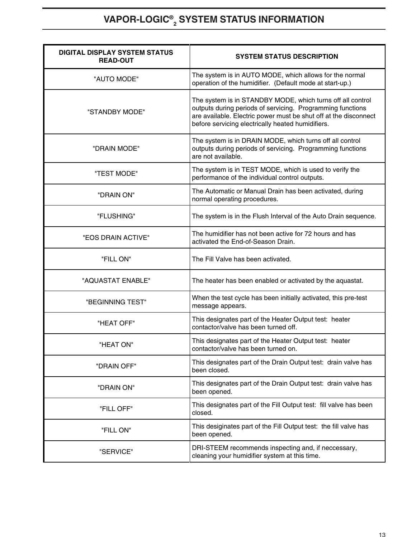# **VAPOR-LOGIC® <sup>2</sup> SYSTEM STATUS INFORMATION**

| <b>DIGITAL DISPLAY SYSTEM STATUS</b><br><b>READ-OUT</b> | <b>SYSTEM STATUS DESCRIPTION</b>                                                                                                                                                                                                                  |
|---------------------------------------------------------|---------------------------------------------------------------------------------------------------------------------------------------------------------------------------------------------------------------------------------------------------|
| "AUTO MODE"                                             | The system is in AUTO MODE, which allows for the normal<br>operation of the humidifier. (Default mode at start-up.)                                                                                                                               |
| "STANDBY MODE"                                          | The system is in STANDBY MODE, which turns off all control<br>outputs during periods of servicing. Programming functions<br>are available. Electric power must be shut off at the disconnect<br>before servicing electrically heated humidifiers. |
| "DRAIN MODE"                                            | The system is in DRAIN MODE, which turns off all control<br>outputs during periods of servicing. Programming functions<br>are not available.                                                                                                      |
| "TEST MODE"                                             | The system is in TEST MODE, which is used to verify the<br>performance of the individual control outputs.                                                                                                                                         |
| "DRAIN ON"                                              | The Automatic or Manual Drain has been activated, during<br>normal operating procedures.                                                                                                                                                          |
| "FLUSHING"                                              | The system is in the Flush Interval of the Auto Drain sequence.                                                                                                                                                                                   |
| "EOS DRAIN ACTIVE"                                      | The humidifier has not been active for 72 hours and has<br>activated the End-of-Season Drain.                                                                                                                                                     |
| "FILL ON"                                               | The Fill Valve has been activated.                                                                                                                                                                                                                |
| "AQUASTAT ENABLE"                                       | The heater has been enabled or activated by the aquastat.                                                                                                                                                                                         |
| "BEGINNING TEST"                                        | When the test cycle has been initially activated, this pre-test<br>message appears.                                                                                                                                                               |
| "HEAT OFF"                                              | This designates part of the Heater Output test: heater<br>contactor/valve has been turned off.                                                                                                                                                    |
| "HEAT ON"                                               | This designates part of the Heater Output test: heater<br>contactor/valve has been turned on.                                                                                                                                                     |
| "DRAIN OFF"                                             | This designates part of the Drain Output test: drain valve has<br>been closed.                                                                                                                                                                    |
| "DRAIN ON"                                              | This designates part of the Drain Output test: drain valve has<br>been opened.                                                                                                                                                                    |
| "FILL OFF"                                              | This designates part of the Fill Output test: fill valve has been<br>closed.                                                                                                                                                                      |
| "FILL ON"                                               | This desiginates part of the Fill Output test: the fill valve has<br>been opened.                                                                                                                                                                 |
| "SERVICE"                                               | DRI-STEEM recommends inspecting and, if neccessary,<br>cleaning your humidifier system at this time.                                                                                                                                              |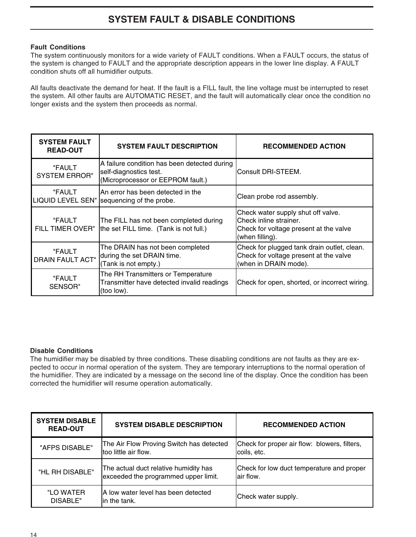# **SYSTEM FAULT & DISABLE CONDITIONS**

#### **Fault Conditions**

The system continuously monitors for a wide variety of FAULT conditions. When a FAULT occurs, the status of the system is changed to FAULT and the appropriate description appears in the lower line display. A FAULT condition shuts off all humidifier outputs.

All faults deactivate the demand for heat. If the fault is a FILL fault, the line voltage must be interrupted to reset the system. All other faults are AUTOMATIC RESET, and the fault will automatically clear once the condition no longer exists and the system then proceeds as normal.

| <b>SYSTEM FAULT</b><br><b>READ-OUT</b> | <b>SYSTEM FAULT DESCRIPTION</b>                                                                             | <b>RECOMMENDED ACTION</b>                                                                                                 |
|----------------------------------------|-------------------------------------------------------------------------------------------------------------|---------------------------------------------------------------------------------------------------------------------------|
| "FAULT<br><b>SYSTEM ERROR"</b>         | A failure condition has been detected during<br>self-diagnostics test.<br>(Microprocessor or EEPROM fault.) | Consult DRI-STEEM.                                                                                                        |
| "FAULT<br><b>LIQUID LEVEL SEN"</b>     | An error has been detected in the<br>sequencing of the probe.                                               | Clean probe rod assembly.                                                                                                 |
| "FAULT<br>FILL TIMER OVER"             | The FILL has not been completed during<br>the set FILL time. (Tank is not full.)                            | Check water supply shut off valve.<br>Check inline strainer.<br>Check for voltage present at the valve<br>(when filling). |
| "FAULT<br><b>DRAIN FAULT ACT"</b>      | The DRAIN has not been completed<br>during the set DRAIN time.<br>(Tank is not empty.)                      | Check for plugged tank drain outlet, clean.<br>Check for voltage present at the valve<br>(when in DRAIN mode).            |
| "FAULT<br>SENSOR"                      | The RH Transmitters or Temperature<br>Transmitter have detected invalid readings<br>(too low).              | Check for open, shorted, or incorrect wiring.                                                                             |

#### **Disable Conditions**

The humidifier may be disabled by three conditions. These disabling conditions are not faults as they are expected to occur in normal operation of the system. They are temporary interruptions to the normal operation of the humidifier. They are indicated by a message on the second line of the display. Once the condition has been corrected the humidifier will resume operation automatically.

| <b>SYSTEM DISABLE</b><br><b>READ-OUT</b> | <b>SYSTEM DISABLE DESCRIPTION</b>                                             | <b>RECOMMENDED ACTION</b>                                   |
|------------------------------------------|-------------------------------------------------------------------------------|-------------------------------------------------------------|
| "AFPS DISABLE"                           | The Air Flow Proving Switch has detected<br>too little air flow.              | Check for proper air flow: blowers, filters,<br>coils, etc. |
| "HL RH DISABLE"                          | The actual duct relative humidity has<br>exceeded the programmed upper limit. | Check for low duct temperature and proper<br>lair flow.     |
| "LO WATER<br><b>DISABLE"</b>             | A low water level has been detected<br>in the tank.                           | Check water supply.                                         |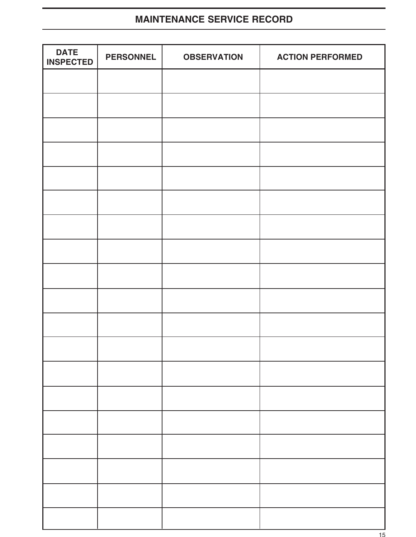### **MAINTENANCE SERVICE RECORD**

| <b>DATE</b><br><b>INSPECTED</b> | <b>PERSONNEL</b> | <b>OBSERVATION</b> | <b>ACTION PERFORMED</b> |
|---------------------------------|------------------|--------------------|-------------------------|
|                                 |                  |                    |                         |
|                                 |                  |                    |                         |
|                                 |                  |                    |                         |
|                                 |                  |                    |                         |
|                                 |                  |                    |                         |
|                                 |                  |                    |                         |
|                                 |                  |                    |                         |
|                                 |                  |                    |                         |
|                                 |                  |                    |                         |
|                                 |                  |                    |                         |
|                                 |                  |                    |                         |
|                                 |                  |                    |                         |
|                                 |                  |                    |                         |
|                                 |                  |                    |                         |
|                                 |                  |                    |                         |
|                                 |                  |                    |                         |
|                                 |                  |                    |                         |
|                                 |                  |                    |                         |
|                                 |                  |                    |                         |